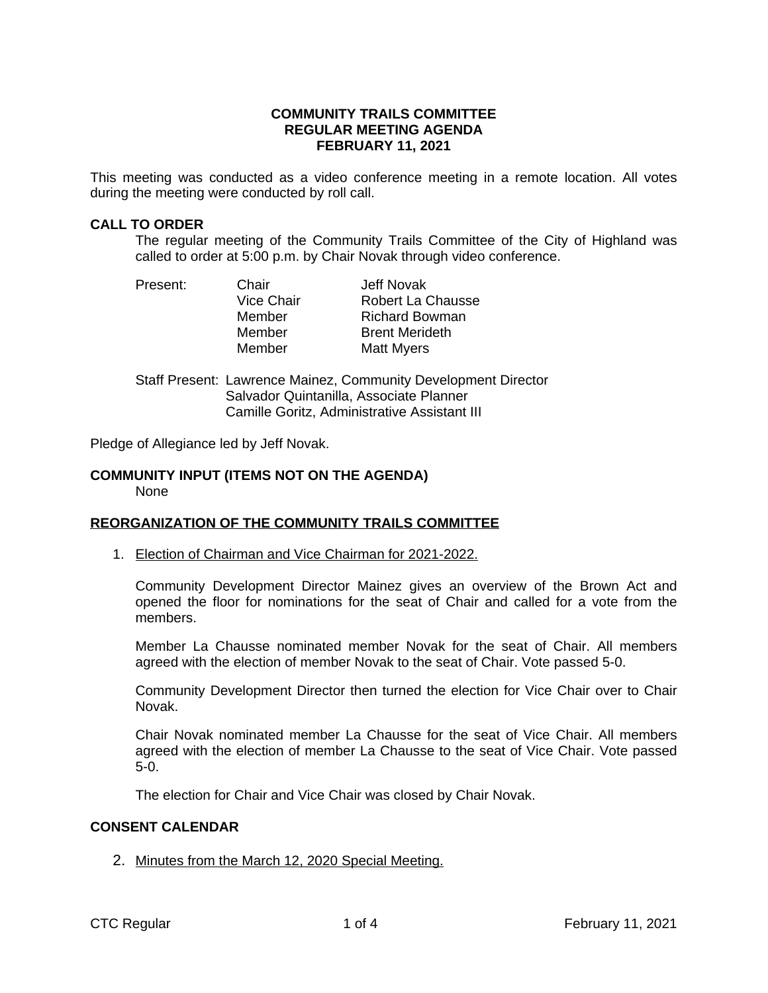### **COMMUNITY TRAILS COMMITTEE REGULAR MEETING AGENDA FEBRUARY 11, 2021**

This meeting was conducted as a video conference meeting in a remote location. All votes during the meeting were conducted by roll call.

### **CALL TO ORDER**

The regular meeting of the Community Trails Committee of the City of Highland was called to order at 5:00 p.m. by Chair Novak through video conference.

| Present: | Chair             | Jeff Novak            |
|----------|-------------------|-----------------------|
|          | <b>Vice Chair</b> | Robert La Chausse     |
|          | Member            | <b>Richard Bowman</b> |
|          | Member            | <b>Brent Merideth</b> |
|          | Member            | <b>Matt Myers</b>     |

Staff Present: Lawrence Mainez, Community Development Director Salvador Quintanilla, Associate Planner Camille Goritz, Administrative Assistant III

Pledge of Allegiance led by Jeff Novak.

#### **COMMUNITY INPUT (ITEMS NOT ON THE AGENDA)** None

### **REORGANIZATION OF THE COMMUNITY TRAILS COMMITTEE**

1. Election of Chairman and Vice Chairman for 2021-2022.

Community Development Director Mainez gives an overview of the Brown Act and opened the floor for nominations for the seat of Chair and called for a vote from the members.

Member La Chausse nominated member Novak for the seat of Chair. All members agreed with the election of member Novak to the seat of Chair. Vote passed 5-0.

Community Development Director then turned the election for Vice Chair over to Chair Novak.

Chair Novak nominated member La Chausse for the seat of Vice Chair. All members agreed with the election of member La Chausse to the seat of Vice Chair. Vote passed 5-0.

The election for Chair and Vice Chair was closed by Chair Novak.

### **CONSENT CALENDAR**

2. Minutes from the March 12, 2020 Special Meeting.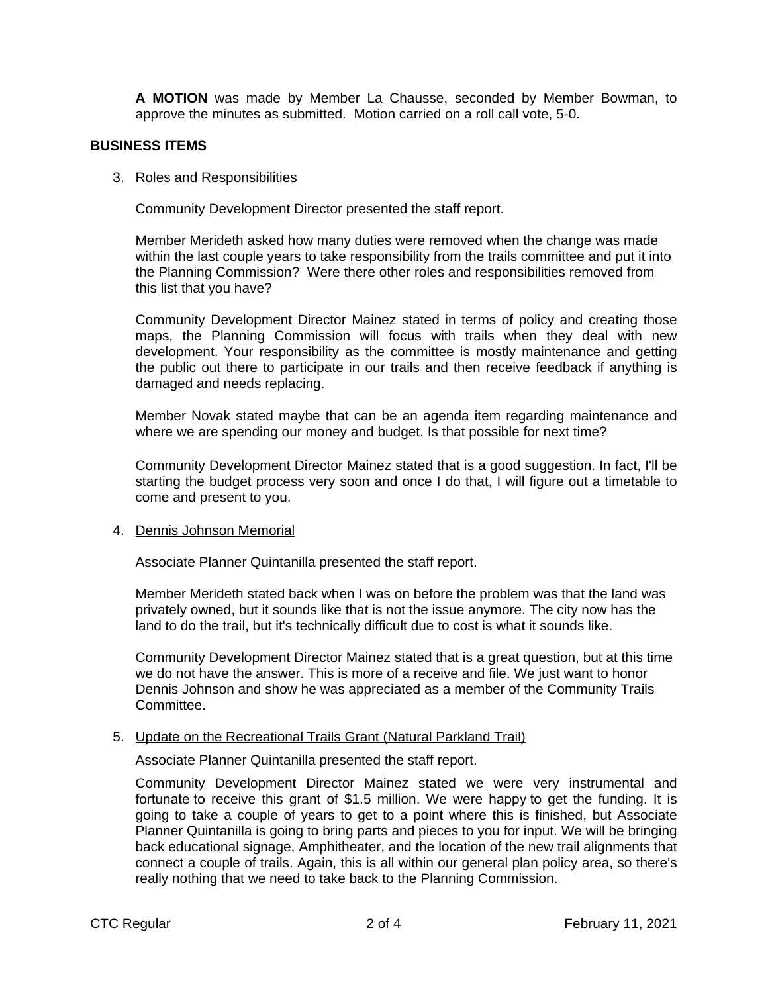**A MOTION** was made by Member La Chausse, seconded by Member Bowman, to approve the minutes as submitted. Motion carried on a roll call vote, 5-0.

### **BUSINESS ITEMS**

### 3. Roles and Responsibilities

Community Development Director presented the staff report.

Member Merideth asked how many duties were removed when the change was made within the last couple years to take responsibility from the trails committee and put it into the Planning Commission? Were there other roles and responsibilities removed from this list that you have?

Community Development Director Mainez stated in terms of policy and creating those maps, the Planning Commission will focus with trails when they deal with new development. Your responsibility as the committee is mostly maintenance and getting the public out there to participate in our trails and then receive feedback if anything is damaged and needs replacing.

Member Novak stated maybe that can be an agenda item regarding maintenance and where we are spending our money and budget. Is that possible for next time?

Community Development Director Mainez stated that is a good suggestion. In fact, I'll be starting the budget process very soon and once I do that, I will figure out a timetable to come and present to you.

### 4. Dennis Johnson Memorial

Associate Planner Quintanilla presented the staff report.

Member Merideth stated back when I was on before the problem was that the land was privately owned, but it sounds like that is not the issue anymore. The city now has the land to do the trail, but it's technically difficult due to cost is what it sounds like.

Community Development Director Mainez stated that is a great question, but at this time we do not have the answer. This is more of a receive and file. We just want to honor Dennis Johnson and show he was appreciated as a member of the Community Trails Committee.

# 5. Update on the Recreational Trails Grant (Natural Parkland Trail)

Associate Planner Quintanilla presented the staff report.

Community Development Director Mainez stated we were very instrumental and fortunate to receive this grant of \$1.5 million. We were happy to get the funding. It is going to take a couple of years to get to a point where this is finished, but Associate Planner Quintanilla is going to bring parts and pieces to you for input. We will be bringing back educational signage, Amphitheater, and the location of the new trail alignments that connect a couple of trails. Again, this is all within our general plan policy area, so there's really nothing that we need to take back to the Planning Commission.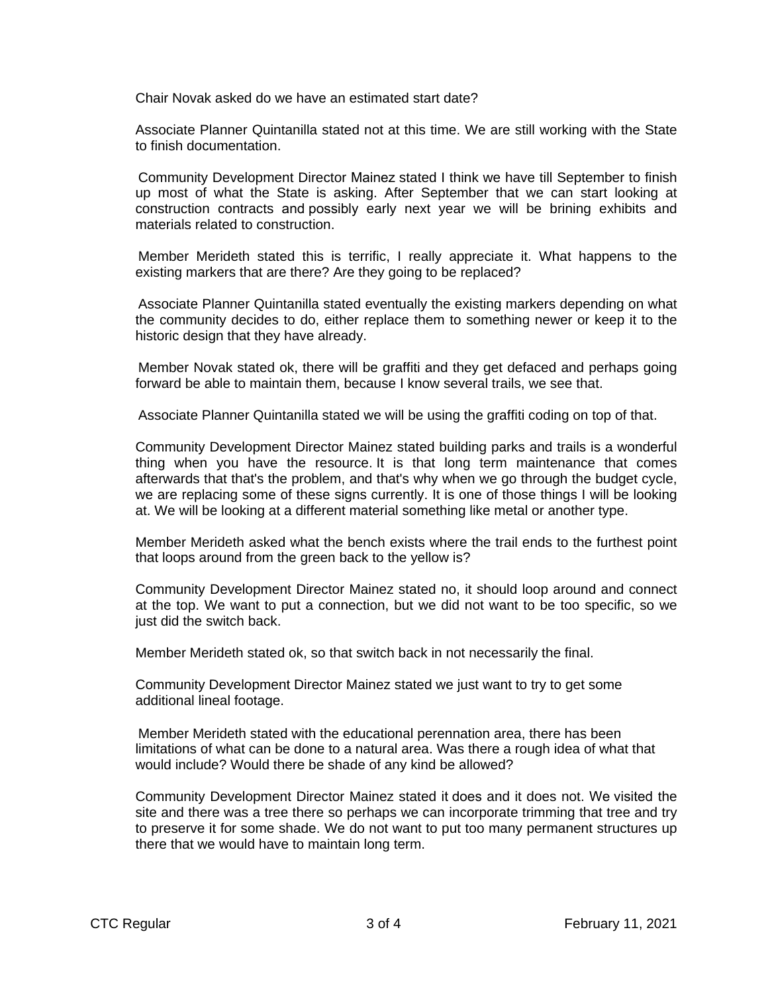Chair Novak asked do we have an estimated start date?

Associate Planner Quintanilla stated not at this time. We are still working with the State to finish documentation.

Community Development Director Mainez stated I think we have till September to finish up most of what the State is asking. After September that we can start looking at construction contracts and possibly early next year we will be brining exhibits and materials related to construction.

Member Merideth stated this is terrific, I really appreciate it. What happens to the existing markers that are there? Are they going to be replaced?

Associate Planner Quintanilla stated eventually the existing markers depending on what the community decides to do, either replace them to something newer or keep it to the historic design that they have already.

Member Novak stated ok, there will be graffiti and they get defaced and perhaps going forward be able to maintain them, because I know several trails, we see that.

Associate Planner Quintanilla stated we will be using the graffiti coding on top of that.

Community Development Director Mainez stated building parks and trails is a wonderful thing when you have the resource. It is that long term maintenance that comes afterwards that that's the problem, and that's why when we go through the budget cycle, we are replacing some of these signs currently. It is one of those things I will be looking at. We will be looking at a different material something like metal or another type.

Member Merideth asked what the bench exists where the trail ends to the furthest point that loops around from the green back to the yellow is?

Community Development Director Mainez stated no, it should loop around and connect at the top. We want to put a connection, but we did not want to be too specific, so we just did the switch back.

Member Merideth stated ok, so that switch back in not necessarily the final.

Community Development Director Mainez stated we just want to try to get some additional lineal footage.

Member Merideth stated with the educational perennation area, there has been limitations of what can be done to a natural area. Was there a rough idea of what that would include? Would there be shade of any kind be allowed?

Community Development Director Mainez stated it does and it does not. We visited the site and there was a tree there so perhaps we can incorporate trimming that tree and try to preserve it for some shade. We do not want to put too many permanent structures up there that we would have to maintain long term.